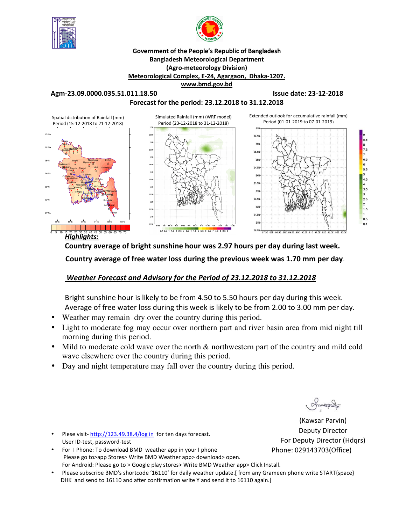



#### **Government of the People's Republic of Bangladesh Bangladesh Meteorological Department (Agro-meteorology Division) Meteorological Complex, E-24, Agargaon, Dhaka-1207. www.bmd.gov.bd**

**Agm-23.09.0000.035.51.011.18.50 Issue date: 23-12-2018** 

**Forecast for the period: 23.12.2018 to 31.12.2018**



**Country average of bright sunshine hour was 2.97 hours per day during last week.**

 **Country average of free water loss during the previous week was 1.70 mm per day**.

# *Weather Forecast and Advisory for the Period of 23.12.2018 to 31.12.2018*

Bright sunshine hour is likely to be from 4.50 to 5.50 hours per day during this week. Average of free water loss during this week is likely to be from 2.00 to 3.00 mm per day.

- Weather may remain dry over the country during this period.
- Light to moderate fog may occur over northern part and river basin area from mid night till morning during this period.
- Mild to moderate cold wave over the north  $\&$  northwestern part of the country and mild cold wave elsewhere over the country during this period.
- Day and night temperature may fall over the country during this period.

(Kawsar Parvin) Deputy Director For Deputy Director (Hdqrs) Phone: 029143703(Office)

- Plese visit-http://123.49.38.4/log in for ten days forecast. User ID-test, password-test
- For I Phone: To download BMD weather app in your I phone Please go to>app Stores> Write BMD Weather app> download> open. For Android: Please go to > Google play stores> Write BMD Weather app> Click Install.
- Please subscribe BMD's shortcode '16110' for daily weather update.[ from any Grameen phone write START{space} DHK and send to 16110 and after confirmation write Y and send it to 16110 again.]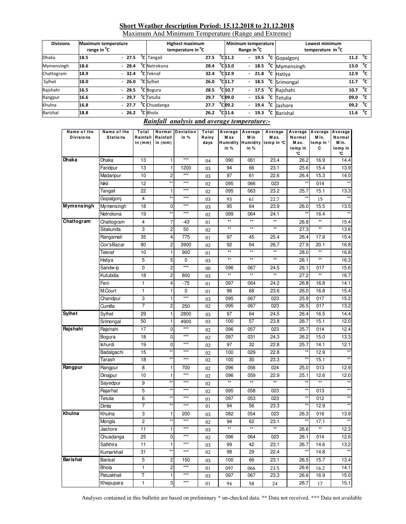#### **Short Weather description Period: 15.12.2018 to 21.12.2018**

Maximum And Minimum Temperature (Range and Extreme)

| <b>Divisions</b> | <b>Maximum temperature</b><br>range in <sup>o</sup> C |         | <b>Highest maximum</b><br>temperature in <sup>o</sup> C |      |                              | Minimum temperature<br>Range in <sup>o</sup> C |  | Lowest minimum<br>temperature in <sup>o</sup> C |      |              |
|------------------|-------------------------------------------------------|---------|---------------------------------------------------------|------|------------------------------|------------------------------------------------|--|-------------------------------------------------|------|--------------|
| <b>Dhaka</b>     | 18.5                                                  | $-27.5$ | <sup>o</sup> C Tangail                                  | 27.5 | $^{\circ}$ C <sub>11.2</sub> |                                                |  | $-$ 19.5 $\degree$ C Gopalgonj                  | 11.2 | °c           |
| Mymensingh       | 18.6                                                  | $-28.4$ | <sup>o</sup> C Netrokona                                | 28.4 | $^{\circ}$ C 13.0            |                                                |  | - $18.5 °C$ Mymensingh                          | 13.0 | °c           |
| Chattogram       | 18.9                                                  | $-32.4$ | <sup>o</sup> C Teknaf                                   | 32.4 | $^{\circ}$ C <sub>12.9</sub> |                                                |  | $-$ 21.8 $^{\circ}$ C Hatiya                    | 12.9 | °c           |
| Sylhet           | 18.0                                                  | $-26.0$ | <sup>o</sup> C Sylhet                                   | 26.0 | $^{\circ}$ C <sub>11.7</sub> |                                                |  | $-$ 18.5 $\degree$ C Srimongal                  | 11.7 | °c           |
| Rajshahi         | 16.5                                                  | $-28.5$ | <sup>o</sup> C Bogura                                   | 28.5 | $^{\circ}$ C <sub>10.7</sub> |                                                |  | $-17.5 °C$ Rajshahi                             | 10.7 | $^{\circ}$ c |
| Rangpur          | 16.6                                                  | $-29.7$ | <sup>o</sup> C Tetulia                                  | 29.7 | $^{\circ}$ clo9.0            |                                                |  | $-15.6$ <sup>o</sup> C Tetulia                  | 09.0 | $^{\circ}$ c |
| Khulna           | 16.8                                                  | $-27.7$ | <sup>o</sup> C Chuadanga                                | 27.7 | $^{\circ}$ Cl09.2            |                                                |  | $-$ 19.4 $^{\circ}$ C Jashore                   | 09.2 | °€           |
| <b>Barishal</b>  | 18.8                                                  | $-26.2$ | <sup>o</sup> C Bhola                                    | 26.2 | $^{\circ}$ C <sub>11.6</sub> |                                                |  | - $19.3$ <sup>o</sup> C Barishal                | 11.6 | °c           |

### *Rainfall analysis* **and** *average temperature:-*

| Name of the<br><b>Divisions</b> | Name of the<br><b>Stations</b> | Total<br>Rainfall | Rainfall                | Normal Deviation<br>in % | Total<br>Rainy | Average<br>M ax | Average<br>M in                  | Average<br>M ax. | Average<br>Normal      | Average<br>M in. | Average<br>Normal      |
|---------------------------------|--------------------------------|-------------------|-------------------------|--------------------------|----------------|-----------------|----------------------------------|------------------|------------------------|------------------|------------------------|
|                                 |                                | in $(mm)$         | in $(mm)$               |                          | days           | in $%$          | <b>Humidity Humidity</b><br>in % | temp in °C       | M ax.<br>temp in<br>°C | temp in °<br>c   | M in.<br>temp in<br>°C |
| Dhaka                           | Dhaka                          | 13                | 1                       | $***$                    | 04             | 090             | 061                              | 23.4             | 26.2                   | 16.9             | 14.4                   |
|                                 | Faridpur                       | 13                | $\mathbf{1}$            | 1200                     | 03             | 94              | 66                               | 23.1             | 25.6                   | 15.4             | 13.9                   |
|                                 | Madaripur                      | 10                | 2                       | $***$                    | 03             | 97              | 61                               | 22.6             | 26.4                   | 15.3             | 14.0                   |
|                                 | Nikli                          | 12                | $\star\star$            | $***$                    | 02             | 095             | 066                              | 023              | $\star\star$           | 014              |                        |
|                                 | Tangail                        | 22                | 1                       | $***$                    | 02             | 095             | 063                              | 23.2             | 25.7                   | 15.1             | 13.3                   |
|                                 | Gopalgonj                      | 4                 | $\star\star$            | $***$                    | 03             | 93              | 61                               | 22.7             | $\star\star$           | 15               |                        |
| Mymensingh                      | Mymensingh                     | 18                | 0                       | $***$                    | 03             | 95              | 64                               | 23.9             | 26.0                   | 15.5             | 13.5                   |
|                                 | Netrokona                      | 19                | $\star\star$            | $***$                    | 02             | 099             | 064                              | 24.1             | $\star\star$           | 16.4             |                        |
| Chattogram                      | Chattogram                     | 4                 | 7                       | -43                      | 01             | $^{\star\star}$ | $^{\star\star}$                  | $\star\star$     | 26.8                   | $^{\star\star}$  | 15.4                   |
|                                 | Sitakunda                      | 3                 | 2                       | 50                       | 02             | $^{\star\star}$ | $^{\star\star}$                  | $\star\star$     | 27.3                   | $^{\star\star}$  | 13.6                   |
|                                 | Rangamati                      | 35                | 4                       | 775                      | 01             | 97              | 45                               | 25.4             | 26.4                   | 17.9             | 15.4                   |
|                                 | Cox'sBazar                     | 80                | 2                       | 3900                     | 02             | 92              | 64                               | 26.7             | 27.9                   | 20.1             | 16.8                   |
|                                 | Teknaf                         | 10                | 1                       | 900                      | 01             | $\star\star$    | $\star\star$                     | $\star\star$     | 28.0                   | $\star\star$     | 16.8                   |
|                                 | Hatiya                         | 5                 | 5                       | 0                        | 03             | **              | **                               | $\star\star$     | 26.1                   | $\star\star$     | 16.3                   |
|                                 | Sandw ip                       | 0                 | $\overline{c}$          | $***$                    | 00             | 096             | 067                              | 24.5             | 26.1                   | 017              | 15.6                   |
|                                 | Kutubdia                       | 18                | $\overline{\mathbf{c}}$ | 800                      | 03             | $\star\star$    | $\star\star$                     | $\star\star$     | 27.2                   | $\star\star$     | 16.7                   |
|                                 | Feni                           | 1                 | 4                       | $-75$                    | 01             | 097             | 064                              | 24.2             | 26.8                   | 16.8             | 14.1                   |
|                                 | M.Court                        | $\mathbf{1}$      | 1                       | 0                        | 01             | 96              | 68                               | 23.6             | 26.0                   | 16.8             | 15.4                   |
|                                 | Chandpur                       | 3                 | 1                       | $***$                    | 03             | 095             | 067                              | 023              | 25.9                   | 017              | 15.2                   |
|                                 | Cumilla                        | $\overline{7}$    | 2                       | 250                      | 02             | 095             | 067                              | 023              | 26.5                   | 017              | 13.2                   |
| <b>Sylhet</b>                   | Sylhet                         | 29                | 1                       | 2800                     | 03             | 97              | 64                               | 24.5             | 26.4                   | 16.5             | 14.4                   |
|                                 | Srimongal                      | 50                | 1                       | 4900                     | 03             | 100             | 57                               | 23.8             | 26.7                   | 15.1             | 12.0                   |
| Rajshahi                        | Rajshahi                       | 17                | 0                       | $\star\star\star$        | 02             | 096             | 057                              | 023              | 25.7                   | 014              | 12.4                   |
|                                 | Bogura                         | 18                | 0                       | $***$                    | 02             | 097             | 031                              | 24.3             | 26.2                   | 15.0             | 13.3                   |
|                                 | Ishurdi                        | 19                | 0                       | $***$                    | 02             | 97              | 32                               | 22.8             | 25.7                   | 14.1             | 12.1                   |
|                                 | Badalgachi                     | 15                | $***$                   | $***$                    | 02             | 100             | 029                              | 22.8             | $\star\star$           | 12.9             |                        |
|                                 | Tarash                         | 18                | $\star\star$            | $***$                    | 02             | 100             | 30                               | 23.3             | $\star\star$           | 15.1             |                        |
| Rangpur                         | Rangpur                        | 8                 | 1                       | 700                      | 02             | 096             | 056                              | 024              | 25.0                   | 013              | 12.9                   |
|                                 | Dinajpur                       | 10                | 1                       | $***$                    | 02             | 096             | 059                              | 22.9             | 25.1                   | 12.6             | 12.0                   |
|                                 | Sayedpur                       | 9                 | $\star\star$            | $***$                    | 02             | **              | **                               | $\star\star$     | $\star\star$           | **               |                        |
|                                 | Rajarhat                       | 5                 | $\star\star$            | $***$                    | 02             | 095             | 058                              | 023              | $^{\star\star}$        | 013              | $\star\star$           |
|                                 | Tetulia                        | 6                 | $\star\star$            | $***$                    | 01             | 097             | 053                              | 023              | $\star\star$           | 012              | $\star\star$           |
|                                 | Dimla                          | $\overline{7}$    | $\star\star$            | $***$                    | 01             | 94              | 56                               | 23.3             | $\star\star$           | 12.9             | $\star\star$           |
| Khulna                          | Khulna                         | 3                 | 1                       | 200                      | 03             | 082             | 054                              | 023              | 26.3                   | 016              | 13.9                   |
|                                 | Mongla                         | 2                 | $\star\star$            | $***$                    | 02             | 94              | 62                               | 23.1             | **                     | 17.1             | **                     |
|                                 | Jashore                        | 11                | 1                       | $***$                    | 03             | $\star\star$    | $\star\star$                     | $^{\star\star}$  | 26.6                   | $***$            | 12.3                   |
|                                 | Chuadanga                      | 25                | 0                       | $\star\star\star$        | 02             | 096             | 064                              | 023              | 26.1                   | 014              | 12.6                   |
|                                 | Satkhira                       | 11                | 1                       | $\star\star\star$        | 03             | 99              | 42                               | 23.1             | 26.7                   | 14.6             | 13.2                   |
|                                 | Kumarkhali                     | 31                | $\star\star$            | $***$                    | 02             | 98              | 29                               | 22.4             | $**$                   | 14.8             | $\star\star$           |
| Barishal                        | Barisal                        | 5                 | 2                       | 150                      | 03             | 100             | 66                               | 23.1             | 26.5                   | 15.7             | 13.4                   |
|                                 | Bhola                          | 1                 | 2                       | $\star\star\star$        | 01             | 097             | 066                              | 23.5             | 26.6                   | 16.2             | 14.1                   |
|                                 | Patuakhali                     | Τ                 | 1                       | $\star\star\star$        | 03             | 097             | 067                              | 23.3             | 26.6                   | 16.9             | 15.0                   |
|                                 | Khepupara                      | 1                 | 3                       | $\star\star\star$        | 01             | 94              | 58                               | 24               | 26.7                   | 17               | 15.1                   |

Analyses contained in this bulletin are based on preliminary \* un-checked data. \*\* Data not received. \*\*\* Data not available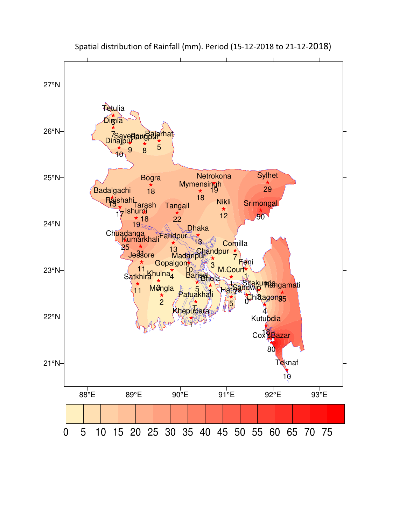

Spatial distribution of Rainfall (mm). Period (15-12-2018 to 21-12-2018)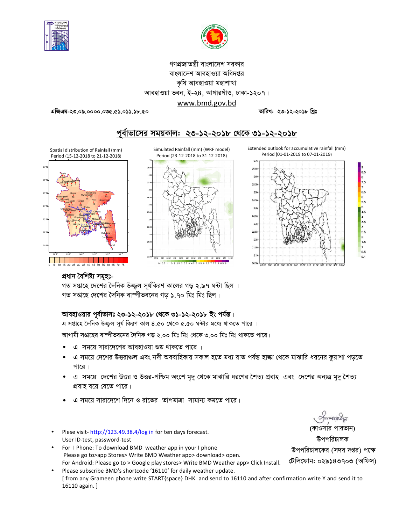



## গণপ্রজাতন্ত্রী বাংলাদেশ সরকার বাংলাদেশ আবহাওয়া অধিদপ্তর কৃষি আবহাওয়া মহাশাখা আবহাওয়া ভবন, ই-২৪, আগারগাঁও, ঢাকা-১২০৭। www.bmd.gov.bd

তারিখ: ২৩-১২-২০১৮ খ্রিঃ

এজিএম-২৩.০৯.০০০০.০৩৫.৫১.০১১.১৮.৫০







Spatial distribution of Rainfall (mm)

Period (15-12-2018 to 21-12-2018)



প্ৰধান বৈশিষ্ট্য সমূহঃ-

গত সপ্তাহে দেশের দৈনিক উজ্জল সূর্যকিরণ কালের গড় ২.৯৭ ঘন্টা ছিল । গত সপ্তাহে দেশের দৈনিক বাষ্পীভবনের গড ১.৭০ মিঃ মিঃ ছিল।

### আবহাওয়ার পূর্বাভাসঃ ২৩-১২-২০১৮ থেকে ৩১-১২-২০১৮ ইং পর্যন্ত।

এ সপ্তাহে দৈনিক উজ্জ্বল সূর্য কিরণ কাল ৪.৫০ থেকে ৫.৫০ ঘন্টার মধ্যে থাকতে পারে ।

আগামী সপ্তাহের বাম্পীভবনের দৈনিক গড় ২.০০ মিঃ মিঃ থেকে ৩.০০ মিঃ মিঃ থাকতে পারে।

- এ সময়ে সারাদেশের আবহাওয়া শুষ্ক থাকতে পারে ।
- এ সময়ে দেশের উত্তরাঞ্চল এবং নদী অববাহিকায় সকাল হতে মধ্য রাত পর্যন্ত হাল্কা থেকে মাঝারি ধরনের কুয়াশা পড়তে পারে।
- এ সময়ে দেশের উত্তর ও উত্তর-পশ্চিম অংশে মৃদু থেকে মাঝারি ধরণের শৈত্য প্রবাহ এবং দেশের অন্যত্র মৃদু শৈত্য প্রবাহ বয়ে যেতে পারে।
- এ সময়ে সারাদেশে দিনে ও রাতের তাপমাত্রা সামান্য কমতে পারে।
- Plese visit-http://123.49.38.4/log in for ten days forecast. User ID-test, password-test
- For I Phone: To download BMD weather app in your I phone Please go to>app Stores> Write BMD Weather app> download> open. For Android: Please go to > Google play stores> Write BMD Weather app> Click Install.
- Please subscribe BMD's shortcode '16110' for daily weather update. [from any Grameen phone write START{space} DHK and send to 16110 and after confirmation write Y and send it to 16110 again. ]

(কাওসার পারভান) উপপরিচালক উপপরিচালকের (সদর দপ্তর) পক্ষে

টেলিফোন: ০২৯১৪৩৭০৩ (অফিস)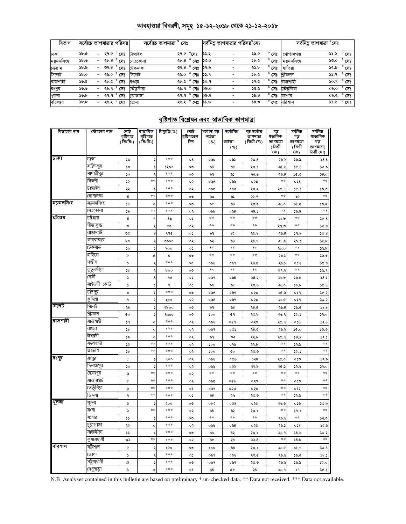### <u> আবহাওয়া বিবরণী, সমূহ ১৫-১২-২০১৮ থেকে ২১-১২-২০১৮</u>

| বিভাগ     | সর্বোচ্চ তাপমাত্রার পরিসর |                          |            |                |            | সৰ্বোচ্চ তাপমাত্ৰা<br>সেঃ |                |      |                          | সর্বনিম্ন তাপমাত্রার পরিসর <sup>০</sup> সেঃ |                |            | সৰ্বনিম্ন তাপমাত্ৰা °সেঃ |                |
|-----------|---------------------------|--------------------------|------------|----------------|------------|---------------------------|----------------|------|--------------------------|---------------------------------------------|----------------|------------|--------------------------|----------------|
| ঢাকা      | 56.6                      | $\overline{\phantom{0}}$ | ২৭.৫ ° সেঃ |                | টাঙ্গাইল   | ২৭.৫ °সেঃ                 |                | ১১.২ |                          | ১৯.৫                                        | $^{\circ}$ সেঃ | গোপালগঞ্জ  |                          | ১১.২ ° সেঃ     |
| ময়মনসিংহ | 3b.9                      | -                        | ২৮.৪       | $^{\circ}$ সেঃ | নেত্ৰকোনা  | ২৮.৪                      | ° সেঃ          | ১৩.০ |                          | <b>Sb.C</b>                                 | $^{\circ}$ সেঃ | ময়মনসংহ   | ১৩.০                     | $^{\circ}$ সেঃ |
| চউগ্ৰাম   | ১৮.৯                      | $\overline{\phantom{0}}$ | ৩২.৪       | সেঃ            | টেকনাফ     | ৩২.৪                      | $^{\circ}$ সেঃ | ১২.৯ |                          | ২১.৮                                        | $^{\circ}$ সেঃ | হাতিয়া    | ১২.৯                     | $^{\circ}$ সেঃ |
| সিলেট     | $\delta$ .0               |                          | ২৬.০       | $^{\circ}$ সেঃ | সিলেট      | ২৬.০                      | $^{\circ}$ সেঃ | ১১.৭ |                          | <b>Sb.&amp;</b>                             | $^{\circ}$ সেঃ | শীমঙ্গল    | 9.4                      | $^{\circ}$ সেঃ |
| রাজশাহী   | ১৬.৫                      | -                        | ২৮.৫       | $^{\circ}$ সেঃ | বণ্ডডা     |                           | ২৮.৫ ° সেঃ     | ১০.৭ |                          | <b>59.G</b>                                 | সেঃ            | রাজশাহী    |                          | ১০.৭ ° সেঃ     |
| রংপুর     | ১৬.৬                      | $\overline{\phantom{a}}$ | ২৯.৭       | সেঃ            | তেঁতুলিয়া |                           | ২৯.৭ ° সেঃ     | ০৯.০ | $\overline{a}$           | ৬.৯১                                        | $^{\circ}$ সেঃ | তেঁতুলিয়া | ০৯.০                     | $^{\circ}$ সেঃ |
| খুলনা     | ১৬.৮                      | $\overline{\phantom{0}}$ | ২৭.৭ ° সেঃ |                | চয়াডাঙ্গা |                           | ২৭.৭ ° সেঃ     | ০৯.২ |                          | 55.8                                        | $^{\circ}$ সেঃ | যশোর       |                          | ০৯.২ ° সেঃ     |
| বরিশাল    | $\delta b$ . $b$          | $\overline{\phantom{0}}$ |            | ২৬.২ ° সেঃ     | ভোলা       |                           | ২৬.২ ° সেঃ     | ৬.১৫ | $\overline{\phantom{a}}$ | ১৯.৩                                        | $^{\circ}$ সেঃ | বরিশাল     |                          | ১১.৬ ° সেঃ     |

## <u>বৃষ্টিপাত বিশ্লেষন এবং স্বাভাবিক তাপমাত্রা</u>

| বিভাগের নাম    | স্টেশনের নাম | মোট                    | ষাভাবিক                  | বিছ্যুতি(%) | মোট                | সৰ্বোচ্চ গড়     | সৰ্বোনিম্ন  | গড সৰ্বোষ্ক                | গড                  | সর্বনিম্ন        | সৰ্বনিম্ন      |
|----------------|--------------|------------------------|--------------------------|-------------|--------------------|------------------|-------------|----------------------------|---------------------|------------------|----------------|
|                |              | বৃষ্টিপাত<br>( মিঃমিঃ) | বৃষ্টিপাত<br>( মিঃমিঃ)   |             | বৃষ্টিপাতের<br>দিন | আৰ্দ্ৰতা<br>( %) | আৰ্ঘতা      | তাপমাত্রা<br>( ডিগ্ৰী সেঃ) | ষভাবিক<br>তাপমাত্রা | গড়<br>তাপমাত্রা | ষাভাবিক<br>গড় |
|                |              |                        |                          |             |                    |                  | ( %)        |                            | (ডিগ্ৰী             | (ডিগ্ৰী          | তাপমাত্রা(     |
|                |              |                        |                          |             |                    |                  |             |                            | (সঃ)                | (সঃ)             | ডিগ্ৰী সেঃ)    |
| ঢাকা           | ঢাকা         | ১৩                     |                          | ***         | 08                 | ০৯০              | ০৬১         | 20.8                       | ২৬.২                | ১৬.৯             | 38.8           |
|                | করিদপুর      | ১৩                     |                          | ১২০০        | ೲ                  | ৯ $8$            | رايرا       | ২৩.১                       | ২৫.৬                | 26.8             | ১৩.৯           |
|                | মাদারীপুর    | ১০                     |                          | ***         | $\circ$            | ৯৭               | ৬১          | ২২.৬                       | ২৬.৪                | ১৫.৩             | 58.0           |
|                | নিকলী        | ১২                     | **                       | ***         | ০২                 | ০৯৫              | ০৬৬         | ০২৩                        | $**$                | 0.58             | **             |
|                | টাঙ্গাইল     | ২২                     | ۵                        | ***         | ০২                 | ০৯৫              | ০৬৩         | ২৩.২                       | ২৫.৭                | 30.5             | 50.0           |
|                | গোপালগঞ্জ    | 8                      | **                       | ***         | ০৩                 | ৯৩               | دی          | ২২.৭                       | $\ast$ $\ast$       | 2Q               | $**$           |
| ময়মনসিংহ      | ময়মনসিংহ    | $\mathcal{P}$          | $\circ$                  | ***         | ০৩                 | ৯৫               | 98          | ২৩.৯                       | ২৬.০                | 50.0             | 30.0           |
|                | নেত্ৰকোনা    | ১৯                     | **                       | ***         | ০২                 | ০৯৯              | ০৬৪         | ২8.১                       | $**$                | 56.8             | $**$           |
| চউগ্ৰাম        | ঢট্রগ্রাম    | $\bf8$                 | ٩                        | -80         | ০১                 | $\ast$           | $\pm\pm$    | $\pm\pm$                   | ২৬.৮                | $\pm$ $\pm$      | 56.8           |
|                | সীতাকুন্ড    | ৩                      |                          | ¢о          | ০২                 | $\ast$ $\ast$    | $\pm\pm$    | $\ast$                     | ২৭.৩                | $\ast$ $\ast$    | 50.6           |
|                | রাঙ্গামার্টি | ৩৫                     | 8                        | 990         | ০১                 | ৯৭               | 8¢          | 20.8                       | ২৬.8                | ১৭.৯             | 56.8           |
|                | কক্সবাজার    | $b^{\circ}$            |                          | ৩৯০০        | ০২                 | ৯২               | ৬৪          | ২৬. ৭                      | ২৭.৯                | ২০.১             | 30.5           |
|                | টেকনাফ       | ১০                     |                          | ৯০০         | ०১                 | $\ast$ $\ast$    | $\ast$      | $\pm\pm$                   | ২৮.০                | $\ast$ $\ast$    | 56.5           |
|                | হাতিয়া      | ¢                      | ¢                        | $\circ$     | ০৩                 | $\ast$           | $\pm\pm$    | $\pm\pm$                   | 20.5                | **               | 56.0           |
|                | সন্দ্বীপ     | $\circ$                |                          | ***         | $\circ$            | ০৯৬              | ০৬৭         | 28.0                       | ২৬.১                | ०১१              | 9.96           |
|                | কুতুবদীয়া   | $\mathcal{V}$          |                          | poo         | ೲ                  | $**$             | $\pm\pm$    | $\ast\ast$                 | ২৭.২                | $\ast$ $\ast$    | 38.9           |
|                | ফেনী         | S                      | 8                        | $-90$       | ০১                 | ০৯৭              | 0.58        | ২8.২                       | ২৬.৮                | ১৬.৮             | 58.5           |
|                | মাইজদী কোট   | S                      |                          | $\circ$     | ০১                 | ৯৬               | ৬৮          | ২৩.৬                       | ২৬.০                | ১৬.৮             | 30.8           |
|                | চাঁদপুর      | ৩                      | $\overline{\phantom{a}}$ | ***         | ০৩                 | ০৯৫              | ०७१         | ০২৩                        | ২৫.৯                | ०১१              | 30.3           |
|                | কৃমিল্লা     | ٩                      | ٠                        | ২৫০         | ০২                 | ০৯৫              | ০৬৭         | ০২৩                        | ২৬.৫                | ०১৭              | 30.3           |
| সিলেট          | সিলেট        | ২৯                     |                          | ২৮০০        | ০৩                 | ৯৭               | 98          | 28.0                       | ২৬.8                | ১৬.৫             | 58.8           |
|                | শ্ৰীমঙ্গল    | <b>CO</b>              |                          | 8500        | ০৩                 | 500              | 69          | ২৩.৮                       | ২৬.৭                | 30.5             | 32.0           |
| নিজশাইী        | রাজশাইী      | S٩                     | $\circ$                  | ***         | ০২                 | ০৯৬              | ०৫१         | ০২৩                        | ২৫.৭                | 058              | 32.8           |
|                | বগুডা        | $\mathcal{P}$          | $\circ$                  | ***         | ০২                 | ০৯৭              | ০৩১         | ২৪.৩                       | ২৬.২                | 30.0             | 50.0           |
|                | ঈশ্বরদী      | ১৯                     | $\circ$                  | ***         | ০২                 | ৯৭               | ৩২          | ২২.৮                       | ২৫.৭                | 58.5             | 32.5           |
|                | বদলগাঘী      | 2Q                     | **                       | ***         | ০২                 | 500              | ০২৯         | ২২.৮                       | $* *$               | ১২.৯             | $\pm$ $\pm$    |
|                | তাডাশ        | $\mathcal{V}$          | **                       | ***         | ০২                 | 500              | ৩০          | ২৩.৩                       | $**$                | 30.5             | $**$           |
| রংপুব          | রংপুর        | b                      | 2                        | 900         | ০২                 | ০৯৬              | ০৫৬         | ०२8                        | ২৫.০                | ০১৩              | 32.5           |
|                | দিনাজপুর     | $\mathcal{L}$          | $\overline{\phantom{a}}$ | ***         | ০২                 | ০৯৬              | ০৫৯         | ২২.৯                       | ২৫.১                | ১২.৬             | 32.0           |
|                | সৈয়দপুর     | ৯                      | **                       | ***         | ০২                 | $\ast$           | $\ast$      | $\ast$                     | $**$                | $\ast$ $\ast$    | $**$           |
|                | রাজারহাট     | ¢                      | **                       | ***         | ০২                 | ০৯৫              | ০৫৮         | ০২৩                        | $**$                | ০১৩              | $**$           |
|                | তেতুঁলিয়া   | ৬                      | **                       | ***         | ०১                 | ০৯৭              | ০৫৩         | ০২৩                        | $**$                | ০১২              | $**$           |
|                | ডিমলা        | ٩                      | **                       | ***         | ০১                 | $\delta$ 8       | ৫৬          | ২৩.৩                       | $**$                | ১২.৯             | $**$           |
| $\sqrt{2}$ जना | থুলনা        | ৩                      | $\overline{ }$           | ২০০         | ০৩                 | ০৮২              | 0@8         | ০২৩                        | ২৬.৩                | ০১৬              | 30.5           |
|                | মংলা         | ২                      | **                       | ***         | ০২                 | $\delta$ 8       | ৬২          | ২৩.১                       | $**$                | 39.5             | $**$           |
|                | যশোর         | دد                     | 2                        | $***$       | ೲ                  | $\pm$ $\pm$      | $\pm$ $\pm$ | $\pm\pm$                   | ২৬.৬                | $\pm$ $\pm$      | 32.0           |
|                | ঢ়মাডাঙ্গা   | ২৫                     | $\circ$                  | ***         | ০২                 | ০৯৬              | ০৬৪         | ০২৩                        | ২৬.১                | 0.58             | 32.6           |
|                | সাতক্ষীরা    | دد                     | A                        | ***         | ೲ                  | ৯৯               | ৪২          | ২৩.১                       | ২৬.৭                | 38.6             | 50.3           |
|                | কুমারখালী    | ৩১                     | **                       | $***$       | ০২                 | ৯৮               | ২৯          | 22.8                       | $\pm$ $\pm$         | 58.5             | $\pm$ $\pm$    |
| ∥ববিশাল        | বারশাল       | ¢                      |                          | ১৫০         | ০৩                 | 500              | ৬৬          | ২৩.১                       | ২৬.৫                | ১৫.৭             | 50.8           |
|                | ভোলা         | Š                      |                          | ***         | $\circ$            | ০৯৭              | ০৬৬         | ২৩.৫                       | ২৬.৬                | ১৬.২             | 58.5           |
|                | পটুয়াথালী   | ঞ                      | ۵                        | ***         | ০৩                 | ০৯৭              | ০৬৭         | ২৩.৩                       | ২৬.৬                | ১৬.৯             | 50.0           |
|                | খেপুপাডা     | د                      | ৩                        | ***         | ০১                 | ৯ $8$            | Qb          | 58                         | ২৬.৭                | 59               | 36.5           |

N.B .Analyses contained in this bulletin are based on preliminary \* un-checked data. \*\* Data not received. \*\*\* Data not available.